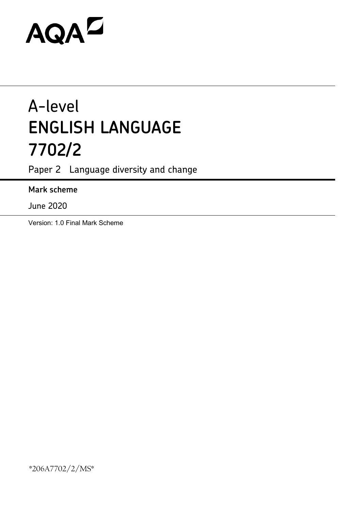# AQAZ

## A-level **ENGLISH LANGUAGE 7702/2**

Paper 2 Language diversity and change

### **Mark scheme**

June 2020

Version: 1.0 Final Mark Scheme

\*206A7702/2/MS\*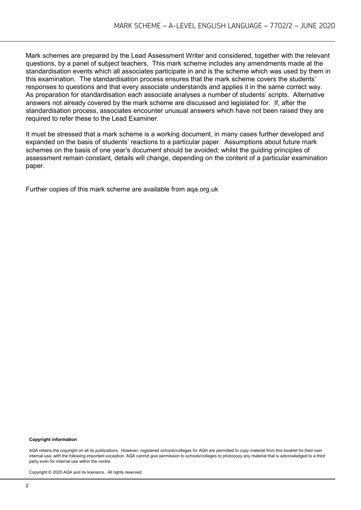Mark schemes are prepared by the Lead Assessment Writer and considered, together with the relevant questions, by a panel of subject teachers. This mark scheme includes any amendments made at the standardisation events which all associates participate in and is the scheme which was used by them in this examination. The standardisation process ensures that the mark scheme covers the students' responses to questions and that every associate understands and applies it in the same correct way. As preparation for standardisation each associate analyses a number of students' scripts. Alternative answers not already covered by the mark scheme are discussed and legislated for. If, after the standardisation process, associates encounter unusual answers which have not been raised they are required to refer these to the Lead Examiner.

It must be stressed that a mark scheme is a working document, in many cases further developed and expanded on the basis of students' reactions to a particular paper. Assumptions about future mark schemes on the basis of one year's document should be avoided; whilst the guiding principles of assessment remain constant, details will change, depending on the content of a particular examination paper.

Further copies of this mark scheme are available from aqa.org.uk

#### **Copyright information**

AQA retains the copyright on all its publications. However, registered schools/colleges for AQA are permitted to copy material from this booklet for their own internal use, with the following important exception: AQA cannot give permission to schools/colleges to photocopy any material that is acknowledged to a third party even for internal use within the centre.

Copyright © 2020 AQA and its licensors. All rights reserved.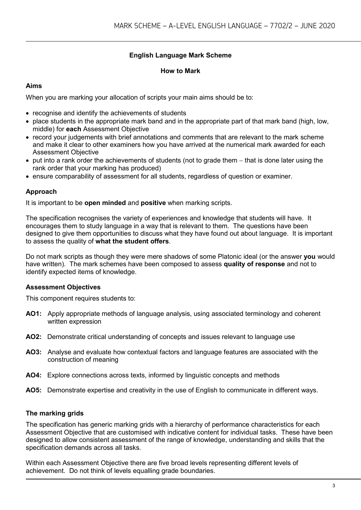#### **English Language Mark Scheme**

#### **How to Mark**

#### **Aims**

When you are marking your allocation of scripts your main aims should be to:

- recognise and identify the achievements of students
- place students in the appropriate mark band and in the appropriate part of that mark band (high, low, middle) for **each** Assessment Objective
- record your judgements with brief annotations and comments that are relevant to the mark scheme and make it clear to other examiners how you have arrived at the numerical mark awarded for each Assessment Objective
- put into a rank order the achievements of students (not to grade them − that is done later using the rank order that your marking has produced)
- ensure comparability of assessment for all students, regardless of question or examiner.

#### **Approach**

It is important to be **open minded** and **positive** when marking scripts.

The specification recognises the variety of experiences and knowledge that students will have. It encourages them to study language in a way that is relevant to them. The questions have been designed to give them opportunities to discuss what they have found out about language. It is important to assess the quality of **what the student offers**.

Do not mark scripts as though they were mere shadows of some Platonic ideal (or the answer **you** would have written). The mark schemes have been composed to assess **quality of response** and not to identify expected items of knowledge.

#### **Assessment Objectives**

This component requires students to:

- **AO1:** Apply appropriate methods of language analysis, using associated terminology and coherent written expression
- **AO2:** Demonstrate critical understanding of concepts and issues relevant to language use
- **AO3:** Analyse and evaluate how contextual factors and language features are associated with the construction of meaning
- **AO4:** Explore connections across texts, informed by linguistic concepts and methods
- **AO5:** Demonstrate expertise and creativity in the use of English to communicate in different ways.

#### **The marking grids**

The specification has generic marking grids with a hierarchy of performance characteristics for each Assessment Objective that are customised with indicative content for individual tasks. These have been designed to allow consistent assessment of the range of knowledge, understanding and skills that the specification demands across all tasks.

Within each Assessment Objective there are five broad levels representing different levels of achievement. Do not think of levels equalling grade boundaries.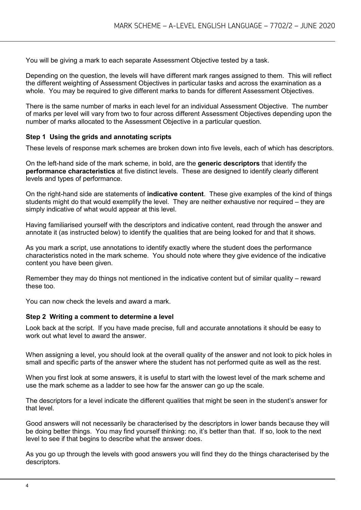You will be giving a mark to each separate Assessment Objective tested by a task.

Depending on the question, the levels will have different mark ranges assigned to them. This will reflect the different weighting of Assessment Objectives in particular tasks and across the examination as a whole. You may be required to give different marks to bands for different Assessment Objectives.

There is the same number of marks in each level for an individual Assessment Objective. The number of marks per level will vary from two to four across different Assessment Objectives depending upon the number of marks allocated to the Assessment Objective in a particular question.

#### **Step 1 Using the grids and annotating scripts**

These levels of response mark schemes are broken down into five levels, each of which has descriptors.

On the left-hand side of the mark scheme, in bold, are the **generic descriptors** that identify the **performance characteristics** at five distinct levels. These are designed to identify clearly different levels and types of performance.

On the right-hand side are statements of **indicative content**. These give examples of the kind of things students might do that would exemplify the level. They are neither exhaustive nor required – they are simply indicative of what would appear at this level.

Having familiarised yourself with the descriptors and indicative content, read through the answer and annotate it (as instructed below) to identify the qualities that are being looked for and that it shows.

As you mark a script, use annotations to identify exactly where the student does the performance characteristics noted in the mark scheme. You should note where they give evidence of the indicative content you have been given.

Remember they may do things not mentioned in the indicative content but of similar quality – reward these too.

You can now check the levels and award a mark.

#### **Step 2 Writing a comment to determine a level**

Look back at the script. If you have made precise, full and accurate annotations it should be easy to work out what level to award the answer.

When assigning a level, you should look at the overall quality of the answer and not look to pick holes in small and specific parts of the answer where the student has not performed quite as well as the rest.

When you first look at some answers, it is useful to start with the lowest level of the mark scheme and use the mark scheme as a ladder to see how far the answer can go up the scale.

The descriptors for a level indicate the different qualities that might be seen in the student's answer for that level.

Good answers will not necessarily be characterised by the descriptors in lower bands because they will be doing better things. You may find yourself thinking: no, it's better than that. If so, look to the next level to see if that begins to describe what the answer does.

As you go up through the levels with good answers you will find they do the things characterised by the descriptors.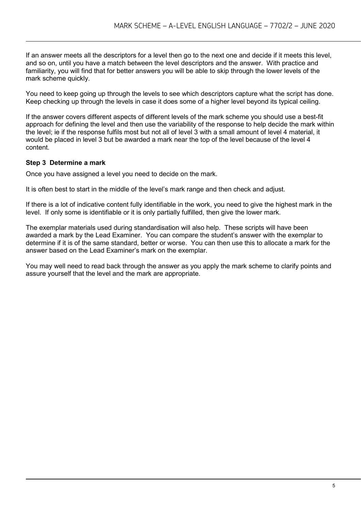If an answer meets all the descriptors for a level then go to the next one and decide if it meets this level, and so on, until you have a match between the level descriptors and the answer. With practice and familiarity, you will find that for better answers you will be able to skip through the lower levels of the mark scheme quickly.

You need to keep going up through the levels to see which descriptors capture what the script has done. Keep checking up through the levels in case it does some of a higher level beyond its typical ceiling.

If the answer covers different aspects of different levels of the mark scheme you should use a best-fit approach for defining the level and then use the variability of the response to help decide the mark within the level; ie if the response fulfils most but not all of level 3 with a small amount of level 4 material, it would be placed in level 3 but be awarded a mark near the top of the level because of the level 4 content.

#### **Step 3 Determine a mark**

Once you have assigned a level you need to decide on the mark.

It is often best to start in the middle of the level's mark range and then check and adjust.

If there is a lot of indicative content fully identifiable in the work, you need to give the highest mark in the level. If only some is identifiable or it is only partially fulfilled, then give the lower mark.

The exemplar materials used during standardisation will also help. These scripts will have been awarded a mark by the Lead Examiner. You can compare the student's answer with the exemplar to determine if it is of the same standard, better or worse. You can then use this to allocate a mark for the answer based on the Lead Examiner's mark on the exemplar.

You may well need to read back through the answer as you apply the mark scheme to clarify points and assure yourself that the level and the mark are appropriate.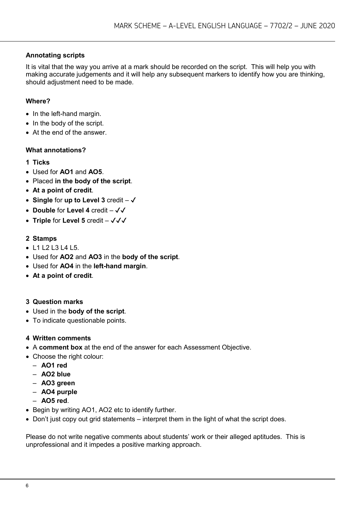#### **Annotating scripts**

It is vital that the way you arrive at a mark should be recorded on the script. This will help you with making accurate judgements and it will help any subsequent markers to identify how you are thinking, should adjustment need to be made.

#### **Where?**

- In the left-hand margin.
- In the body of the script.
- At the end of the answer.

#### **What annotations?**

- **1 Ticks**
- Used for **AO1** and **AO5**.
- Placed **in the body of the script**.
- **At a point of credit**.
- **Single** for up to Level 3 credit  $-\sqrt{ }$
- **Double** for **Level 4** credit ✔✔
- **Triple** for Level 5 credit  $-\sqrt{\sqrt{}}$

#### **2 Stamps**

- L1 L2 L3 L4 L5.
- Used for **AO2** and **AO3** in the **body of the script**.
- Used for **AO4** in the **left-hand margin**.
- **At a point of credit**.
- **3 Question marks**
- Used in the **body of the script**.
- To indicate questionable points.

#### **4 Written comments**

- A **comment box** at the end of the answer for each Assessment Objective.
- Choose the right colour:
	- **AO1 red**
	- **AO2 blue**
	- **AO3 green**
	- **AO4 purple**
	- **AO5 red**.
- Begin by writing AO1, AO2 etc to identify further.
- Don't just copy out grid statements interpret them in the light of what the script does.

Please do not write negative comments about students' work or their alleged aptitudes. This is unprofessional and it impedes a positive marking approach.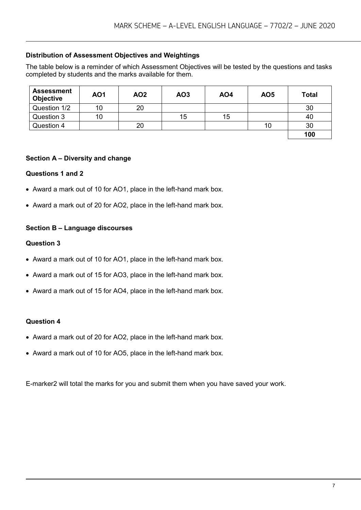#### **Distribution of Assessment Objectives and Weightings**

The table below is a reminder of which Assessment Objectives will be tested by the questions and tasks completed by students and the marks available for them.

| <b>Assessment</b><br><b>Objective</b> | <b>AO1</b> | AO <sub>2</sub> | AO <sub>3</sub> | <b>AO4</b> | <b>AO5</b> | <b>Total</b> |
|---------------------------------------|------------|-----------------|-----------------|------------|------------|--------------|
| Question 1/2                          | 10         | 20              |                 |            |            | 30           |
| Question 3                            | 10         |                 | 15              | 15         |            | 40           |
| Question 4                            |            | 20              |                 |            | 10         | 30           |
|                                       |            |                 |                 |            |            | 100          |

#### **Section A – Diversity and change**

#### **Questions 1 and 2**

- Award a mark out of 10 for AO1, place in the left-hand mark box.
- Award a mark out of 20 for AO2, place in the left-hand mark box.

#### **Section B – Language discourses**

#### **Question 3**

- Award a mark out of 10 for AO1, place in the left-hand mark box.
- Award a mark out of 15 for AO3, place in the left-hand mark box.
- Award a mark out of 15 for AO4, place in the left-hand mark box.

#### **Question 4**

- Award a mark out of 20 for AO2, place in the left-hand mark box.
- Award a mark out of 10 for AO5, place in the left-hand mark box.

E-marker2 will total the marks for you and submit them when you have saved your work.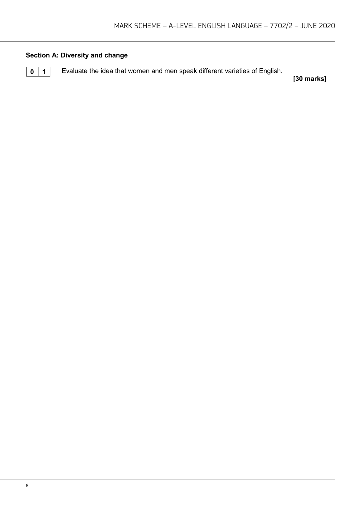#### **Section A: Diversity and change**

**0 1** Evaluate the idea that women and men speak different varieties of English.

**[30 marks]**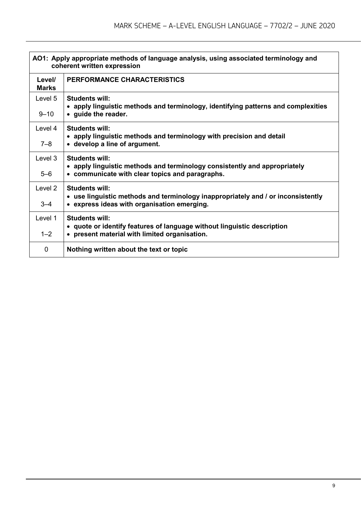| AO1: Apply appropriate methods of language analysis, using associated terminology and<br>coherent written expression |                                                                                                                                                          |  |
|----------------------------------------------------------------------------------------------------------------------|----------------------------------------------------------------------------------------------------------------------------------------------------------|--|
| Level/<br><b>Marks</b>                                                                                               | <b>PERFORMANCE CHARACTERISTICS</b>                                                                                                                       |  |
| Level 5<br>$9 - 10$                                                                                                  | <b>Students will:</b><br>• apply linguistic methods and terminology, identifying patterns and complexities<br>• guide the reader.                        |  |
| Level 4<br>7–8                                                                                                       | Students will:<br>• apply linguistic methods and terminology with precision and detail<br>• develop a line of argument.                                  |  |
| Level 3<br>$5 - 6$                                                                                                   | <b>Students will:</b><br>• apply linguistic methods and terminology consistently and appropriately<br>• communicate with clear topics and paragraphs.    |  |
| Level 2<br>$3 - 4$                                                                                                   | <b>Students will:</b><br>• use linguistic methods and terminology inappropriately and / or inconsistently<br>• express ideas with organisation emerging. |  |
| Level 1<br>$1 - 2$                                                                                                   | Students will:<br>• quote or identify features of language without linguistic description<br>• present material with limited organisation.               |  |
| 0                                                                                                                    | Nothing written about the text or topic                                                                                                                  |  |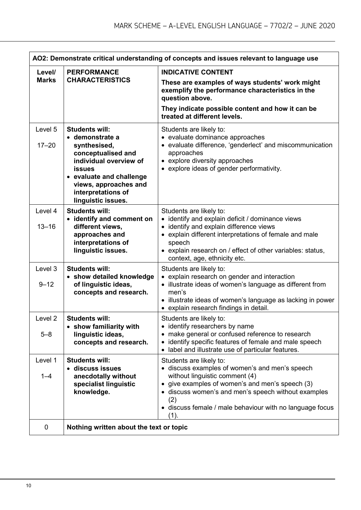| AO2: Demonstrate critical understanding of concepts and issues relevant to language use |                                                                                                                                                                                                                            |                                                                                                                                                                                                                                                                                               |  |
|-----------------------------------------------------------------------------------------|----------------------------------------------------------------------------------------------------------------------------------------------------------------------------------------------------------------------------|-----------------------------------------------------------------------------------------------------------------------------------------------------------------------------------------------------------------------------------------------------------------------------------------------|--|
| Level/                                                                                  | <b>PERFORMANCE</b>                                                                                                                                                                                                         | <b>INDICATIVE CONTENT</b>                                                                                                                                                                                                                                                                     |  |
| <b>Marks</b>                                                                            | <b>CHARACTERISTICS</b>                                                                                                                                                                                                     | These are examples of ways students' work might<br>exemplify the performance characteristics in the<br>question above.<br>They indicate possible content and how it can be<br>treated at different levels.                                                                                    |  |
| Level 5<br>$17 - 20$                                                                    | <b>Students will:</b><br>• demonstrate a<br>synthesised,<br>conceptualised and<br>individual overview of<br><b>issues</b><br>• evaluate and challenge<br>views, approaches and<br>interpretations of<br>linguistic issues. | Students are likely to:<br>• evaluate dominance approaches<br>• evaluate difference, 'genderlect' and miscommunication<br>approaches<br>• explore diversity approaches<br>• explore ideas of gender performativity.                                                                           |  |
| Level 4<br>$13 - 16$                                                                    | <b>Students will:</b><br>• identify and comment on<br>different views,<br>approaches and<br>interpretations of<br>linguistic issues.                                                                                       | Students are likely to:<br>• identify and explain deficit / dominance views<br>• identify and explain difference views<br>• explain different interpretations of female and male<br>speech<br>• explain research on / effect of other variables: status,<br>context, age, ethnicity etc.      |  |
| Level 3<br>$9 - 12$                                                                     | <b>Students will:</b><br>• show detailed knowledge<br>of linguistic ideas,<br>concepts and research.                                                                                                                       | Students are likely to:<br>• explain research on gender and interaction<br>• illustrate ideas of women's language as different from<br>men's<br>• illustrate ideas of women's language as lacking in power<br>• explain research findings in detail.                                          |  |
| Level <sub>2</sub><br>$5 - 8$                                                           | <b>Students will:</b><br>show familiarity with<br>linguistic ideas,<br>concepts and research.                                                                                                                              | Students are likely to:<br>• identify researchers by name<br>make general or confused reference to research<br>identify specific features of female and male speech<br>• label and illustrate use of particular features.                                                                     |  |
| Level 1<br>$1 - 4$                                                                      | <b>Students will:</b><br>· discuss issues<br>anecdotally without<br>specialist linguistic<br>knowledge.                                                                                                                    | Students are likely to:<br>• discuss examples of women's and men's speech<br>without linguistic comment (4)<br>give examples of women's and men's speech (3)<br>• discuss women's and men's speech without examples<br>(2)<br>• discuss female / male behaviour with no language focus<br>(1) |  |
| $\mathbf 0$                                                                             | Nothing written about the text or topic                                                                                                                                                                                    |                                                                                                                                                                                                                                                                                               |  |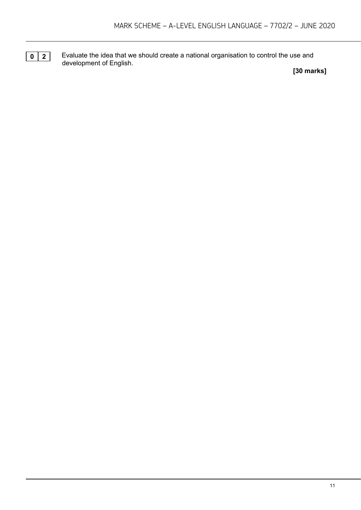**0** 2 Evaluate the idea that we should create a national organisation to control the use and development of English.

**[30 marks]**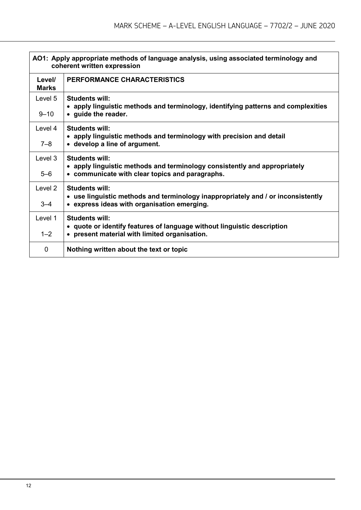| AO1: Apply appropriate methods of language analysis, using associated terminology and<br>coherent written expression |                                                                                                                                                          |  |
|----------------------------------------------------------------------------------------------------------------------|----------------------------------------------------------------------------------------------------------------------------------------------------------|--|
| Level/<br><b>Marks</b>                                                                                               | <b>PERFORMANCE CHARACTERISTICS</b>                                                                                                                       |  |
| Level 5<br>$9 - 10$                                                                                                  | <b>Students will:</b><br>• apply linguistic methods and terminology, identifying patterns and complexities<br>• guide the reader.                        |  |
| Level 4<br>7–8                                                                                                       | Students will:<br>• apply linguistic methods and terminology with precision and detail<br>• develop a line of argument.                                  |  |
| Level 3<br>$5 - 6$                                                                                                   | <b>Students will:</b><br>• apply linguistic methods and terminology consistently and appropriately<br>• communicate with clear topics and paragraphs.    |  |
| Level 2<br>$3 - 4$                                                                                                   | <b>Students will:</b><br>• use linguistic methods and terminology inappropriately and / or inconsistently<br>• express ideas with organisation emerging. |  |
| Level 1<br>$1 - 2$                                                                                                   | <b>Students will:</b><br>• quote or identify features of language without linguistic description<br>• present material with limited organisation.        |  |
| 0                                                                                                                    | Nothing written about the text or topic                                                                                                                  |  |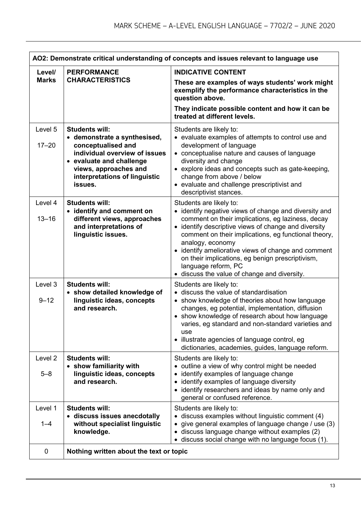| AO2: Demonstrate critical understanding of concepts and issues relevant to language use |                                                                                                                                                                                                               |                                                                                                                                                                                                                                                                                                                                                                                                                                                           |  |
|-----------------------------------------------------------------------------------------|---------------------------------------------------------------------------------------------------------------------------------------------------------------------------------------------------------------|-----------------------------------------------------------------------------------------------------------------------------------------------------------------------------------------------------------------------------------------------------------------------------------------------------------------------------------------------------------------------------------------------------------------------------------------------------------|--|
| Level/<br><b>Marks</b>                                                                  | <b>PERFORMANCE</b><br><b>CHARACTERISTICS</b>                                                                                                                                                                  | <b>INDICATIVE CONTENT</b><br>These are examples of ways students' work might<br>exemplify the performance characteristics in the<br>question above.<br>They indicate possible content and how it can be<br>treated at different levels.                                                                                                                                                                                                                   |  |
| Level 5<br>$17 - 20$                                                                    | <b>Students will:</b><br>• demonstrate a synthesised,<br>conceptualised and<br>individual overview of issues<br>• evaluate and challenge<br>views, approaches and<br>interpretations of linguistic<br>issues. | Students are likely to:<br>• evaluate examples of attempts to control use and<br>development of language<br>• conceptualise nature and causes of language<br>diversity and change<br>• explore ideas and concepts such as gate-keeping,<br>change from above / below<br>• evaluate and challenge prescriptivist and<br>descriptivist stances.                                                                                                             |  |
| Level 4<br>$13 - 16$                                                                    | <b>Students will:</b><br>• identify and comment on<br>different views, approaches<br>and interpretations of<br>linguistic issues.                                                                             | Students are likely to:<br>• identify negative views of change and diversity and<br>comment on their implications, eg laziness, decay<br>• identify descriptive views of change and diversity<br>comment on their implications, eg functional theory,<br>analogy, economy<br>identify ameliorative views of change and comment<br>on their implications, eg benign prescriptivism,<br>language reform, PC<br>• discuss the value of change and diversity. |  |
| Level 3<br>$9 - 12$                                                                     | <b>Students will:</b><br>• show detailed knowledge of<br>linguistic ideas, concepts<br>and research.                                                                                                          | Students are likely to:<br>• discuss the value of standardisation<br>• show knowledge of theories about how language<br>changes, eg potential, implementation, diffusion<br>• show knowledge of research about how language<br>varies, eg standard and non-standard varieties and<br>use<br>• illustrate agencies of language control, eg<br>dictionaries, academies, guides, language reform.                                                            |  |
| Level <sub>2</sub><br>$5 - 8$                                                           | <b>Students will:</b><br>• show familiarity with<br>linguistic ideas, concepts<br>and research.                                                                                                               | Students are likely to:<br>outline a view of why control might be needed<br>identify examples of language change<br>٠<br>identify examples of language diversity<br>$\bullet$<br>identify researchers and ideas by name only and<br>$\bullet$<br>general or confused reference.                                                                                                                                                                           |  |
| Level 1<br>$1 - 4$                                                                      | <b>Students will:</b><br>· discuss issues anecdotally<br>without specialist linguistic<br>knowledge.                                                                                                          | Students are likely to:<br>discuss examples without linguistic comment (4)<br>give general examples of language change / use (3)<br>discuss language change without examples (2)<br>discuss social change with no language focus (1).                                                                                                                                                                                                                     |  |
| 0                                                                                       | Nothing written about the text or topic                                                                                                                                                                       |                                                                                                                                                                                                                                                                                                                                                                                                                                                           |  |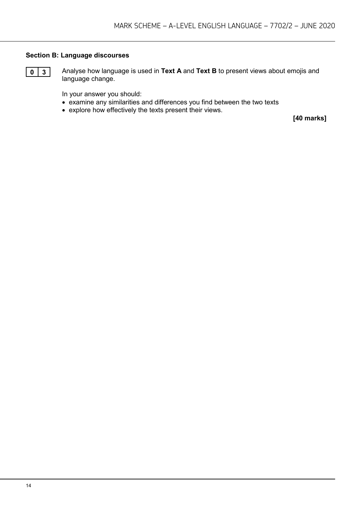#### **Section B: Language discourses**



**0 3** Analyse how language is used in **Text A** and **Text B** to present views about emojis and language change.

In your answer you should:

- examine any similarities and differences you find between the two texts
- explore how effectively the texts present their views.

**[40 marks]**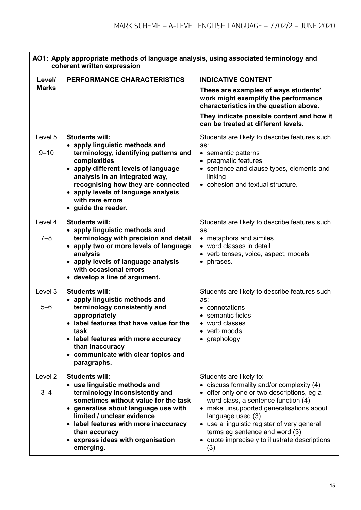|                        | AO1: Apply appropriate methods of language analysis, using associated terminology and<br>coherent written expression                                                                                                                                                                                             |                                                                                                                                                                                                                                                                                                                                                                     |  |
|------------------------|------------------------------------------------------------------------------------------------------------------------------------------------------------------------------------------------------------------------------------------------------------------------------------------------------------------|---------------------------------------------------------------------------------------------------------------------------------------------------------------------------------------------------------------------------------------------------------------------------------------------------------------------------------------------------------------------|--|
| Level/<br><b>Marks</b> | PERFORMANCE CHARACTERISTICS                                                                                                                                                                                                                                                                                      | <b>INDICATIVE CONTENT</b><br>These are examples of ways students'<br>work might exemplify the performance<br>characteristics in the question above.<br>They indicate possible content and how it<br>can be treated at different levels.                                                                                                                             |  |
| Level 5<br>$9 - 10$    | <b>Students will:</b><br>• apply linguistic methods and<br>terminology, identifying patterns and<br>complexities<br>• apply different levels of language<br>analysis in an integrated way,<br>recognising how they are connected<br>• apply levels of language analysis<br>with rare errors<br>guide the reader. | Students are likely to describe features such<br>as:<br>• semantic patterns<br>pragmatic features<br>• sentence and clause types, elements and<br>linking<br>• cohesion and textual structure.                                                                                                                                                                      |  |
| Level 4<br>$7 - 8$     | <b>Students will:</b><br>• apply linguistic methods and<br>terminology with precision and detail<br>• apply two or more levels of language<br>analysis<br>• apply levels of language analysis<br>with occasional errors<br>• develop a line of argument.                                                         | Students are likely to describe features such<br>as:<br>• metaphors and similes<br>• word classes in detail<br>• verb tenses, voice, aspect, modals<br>phrases.<br>$\bullet$                                                                                                                                                                                        |  |
| Level 3<br>$5 - 6$     | <b>Students will:</b><br>• apply linguistic methods and<br>terminology consistently and<br>appropriately<br>label features that have value for the<br>task<br>• label features with more accuracy<br>than inaccuracy<br>• communicate with clear topics and<br>paragraphs.                                       | Students are likely to describe features such<br>as:<br>• connotations<br>• semantic fields<br>word classes<br>verb moods<br>• graphology.                                                                                                                                                                                                                          |  |
| Level 2<br>$3 - 4$     | <b>Students will:</b><br>• use linguistic methods and<br>terminology inconsistently and<br>sometimes without value for the task<br>generalise about language use with<br>limited / unclear evidence<br>• label features with more inaccuracy<br>than accuracy<br>express ideas with organisation<br>emerging.    | Students are likely to:<br>• discuss formality and/or complexity (4)<br>• offer only one or two descriptions, eg a<br>word class, a sentence function (4)<br>• make unsupported generalisations about<br>language used (3)<br>• use a linguistic register of very general<br>terms eg sentence and word (3)<br>quote imprecisely to illustrate descriptions<br>(3). |  |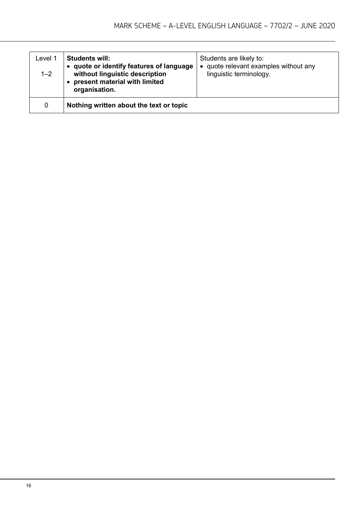| Level 1<br>$1 - 2$ | <b>Students will:</b><br>quote or identify features of language<br>without linguistic description<br>present material with limited<br>organisation. | Students are likely to:<br>quote relevant examples without any<br>linguistic terminology. |
|--------------------|-----------------------------------------------------------------------------------------------------------------------------------------------------|-------------------------------------------------------------------------------------------|
| 0                  | Nothing written about the text or topic                                                                                                             |                                                                                           |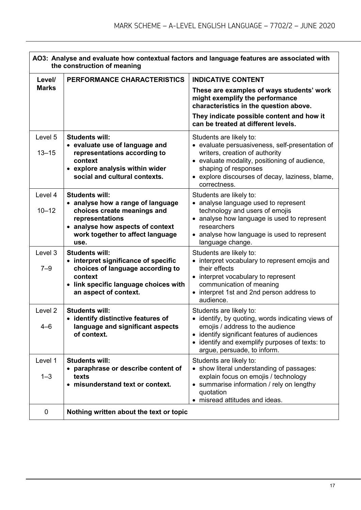| AO3: Analyse and evaluate how contextual factors and language features are associated with<br>the construction of meaning |                                                                                                                                                                                              |                                                                                                                                                                                                                                                          |  |
|---------------------------------------------------------------------------------------------------------------------------|----------------------------------------------------------------------------------------------------------------------------------------------------------------------------------------------|----------------------------------------------------------------------------------------------------------------------------------------------------------------------------------------------------------------------------------------------------------|--|
| Level/                                                                                                                    | PERFORMANCE CHARACTERISTICS                                                                                                                                                                  | <b>INDICATIVE CONTENT</b>                                                                                                                                                                                                                                |  |
| <b>Marks</b>                                                                                                              |                                                                                                                                                                                              | These are examples of ways students' work<br>might exemplify the performance<br>characteristics in the question above.<br>They indicate possible content and how it<br>can be treated at different levels.                                               |  |
| Level 5<br>$13 - 15$                                                                                                      | <b>Students will:</b><br>• evaluate use of language and<br>representations according to<br>context<br>• explore analysis within wider<br>social and cultural contexts.                       | Students are likely to:<br>• evaluate persuasiveness, self-presentation of<br>writers, creation of authority<br>• evaluate modality, positioning of audience,<br>shaping of responses<br>• explore discourses of decay, laziness, blame,<br>correctness. |  |
| Level 4<br>$10 - 12$                                                                                                      | <b>Students will:</b><br>• analyse how a range of language<br>choices create meanings and<br>representations<br>• analyse how aspects of context<br>work together to affect language<br>use. | Students are likely to:<br>• analyse language used to represent<br>technology and users of emojis<br>• analyse how language is used to represent<br>researchers<br>• analyse how language is used to represent<br>language change.                       |  |
| Level 3<br>$7 - 9$                                                                                                        | <b>Students will:</b><br>• interpret significance of specific<br>choices of language according to<br>context<br>• link specific language choices with<br>an aspect of context.               | Students are likely to:<br>• interpret vocabulary to represent emojis and<br>their effects<br>• interpret vocabulary to represent<br>communication of meaning<br>• interpret 1st and 2nd person address to<br>audience.                                  |  |
| Level <sub>2</sub><br>$4 - 6$                                                                                             | <b>Students will:</b><br>• identify distinctive features of<br>language and significant aspects<br>of context.                                                                               | Students are likely to:<br>• identify, by quoting, words indicating views of<br>emojis / address to the audience<br>• identify significant features of audiences<br>• identify and exemplify purposes of texts: to<br>argue, persuade, to inform.        |  |
| Level 1<br>$1 - 3$                                                                                                        | <b>Students will:</b><br>paraphrase or describe content of<br>texts<br>• misunderstand text or context.                                                                                      | Students are likely to:<br>• show literal understanding of passages:<br>explain focus on emojis / technology<br>• summarise information / rely on lengthy<br>quotation<br>• misread attitudes and ideas.                                                 |  |
| $\mathbf 0$                                                                                                               | Nothing written about the text or topic                                                                                                                                                      |                                                                                                                                                                                                                                                          |  |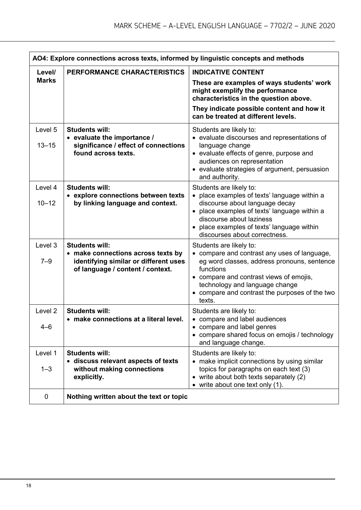| AO4: Explore connections across texts, informed by linguistic concepts and methods |                                                                                                                                          |                                                                                                                                                                                                                                                                            |
|------------------------------------------------------------------------------------|------------------------------------------------------------------------------------------------------------------------------------------|----------------------------------------------------------------------------------------------------------------------------------------------------------------------------------------------------------------------------------------------------------------------------|
| Level/                                                                             | PERFORMANCE CHARACTERISTICS                                                                                                              | <b>INDICATIVE CONTENT</b>                                                                                                                                                                                                                                                  |
| <b>Marks</b>                                                                       |                                                                                                                                          | These are examples of ways students' work<br>might exemplify the performance<br>characteristics in the question above.                                                                                                                                                     |
|                                                                                    |                                                                                                                                          | They indicate possible content and how it<br>can be treated at different levels.                                                                                                                                                                                           |
| Level 5<br>$13 - 15$                                                               | <b>Students will:</b><br>• evaluate the importance /<br>significance / effect of connections                                             | Students are likely to:<br>• evaluate discourses and representations of                                                                                                                                                                                                    |
|                                                                                    | found across texts.                                                                                                                      | language change<br>• evaluate effects of genre, purpose and<br>audiences on representation<br>• evaluate strategies of argument, persuasion<br>and authority.                                                                                                              |
| Level 4                                                                            | <b>Students will:</b><br>• explore connections between texts                                                                             | Students are likely to:<br>place examples of texts' language within a                                                                                                                                                                                                      |
| $10 - 12$                                                                          | by linking language and context.                                                                                                         | discourse about language decay<br>• place examples of texts' language within a<br>discourse about laziness<br>• place examples of texts' language within<br>discourses about correctness.                                                                                  |
| Level 3<br>$7 - 9$                                                                 | <b>Students will:</b><br>• make connections across texts by<br>identifying similar or different uses<br>of language / content / context. | Students are likely to:<br>compare and contrast any uses of language,<br>eg word classes, address pronouns, sentence<br>functions<br>• compare and contrast views of emojis,<br>technology and language change<br>• compare and contrast the purposes of the two<br>texts. |
| Level <sub>2</sub><br>$4 - 6$                                                      | <b>Students will:</b><br>make connections at a literal level.                                                                            | Students are likely to:<br>compare and label audiences<br>compare and label genres<br>• compare shared focus on emojis / technology<br>and language change.                                                                                                                |
| Level 1<br>$1 - 3$                                                                 | <b>Students will:</b><br>• discuss relevant aspects of texts<br>without making connections<br>explicitly.                                | Students are likely to:<br>• make implicit connections by using similar<br>topics for paragraphs on each text (3)<br>write about both texts separately (2)<br>$\bullet$ write about one text only (1).                                                                     |
| 0                                                                                  | Nothing written about the text or topic                                                                                                  |                                                                                                                                                                                                                                                                            |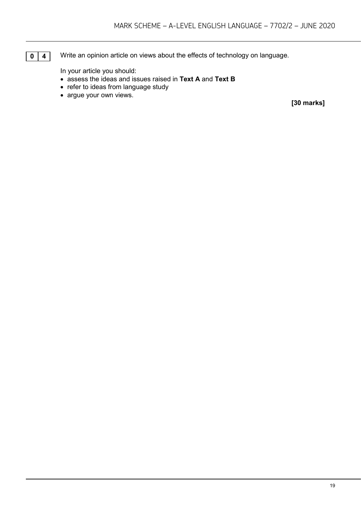**0 4** Write an opinion article on views about the effects of technology on language.

In your article you should:

- assess the ideas and issues raised in **Text A** and **Text B**
- refer to ideas from language study
- argue your own views.

**[30 marks]**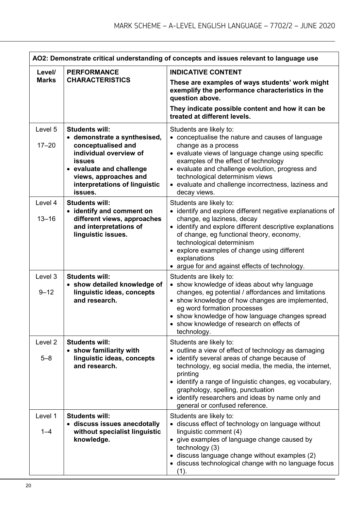| AO2: Demonstrate critical understanding of concepts and issues relevant to language use |                                                                                                                                                                                                                         |                                                                                                                                                                                                                                                                                                                                                                                               |  |
|-----------------------------------------------------------------------------------------|-------------------------------------------------------------------------------------------------------------------------------------------------------------------------------------------------------------------------|-----------------------------------------------------------------------------------------------------------------------------------------------------------------------------------------------------------------------------------------------------------------------------------------------------------------------------------------------------------------------------------------------|--|
| Level/                                                                                  | <b>PERFORMANCE</b>                                                                                                                                                                                                      | <b>INDICATIVE CONTENT</b>                                                                                                                                                                                                                                                                                                                                                                     |  |
| <b>Marks</b>                                                                            | <b>CHARACTERISTICS</b>                                                                                                                                                                                                  | These are examples of ways students' work might<br>exemplify the performance characteristics in the<br>question above.<br>They indicate possible content and how it can be                                                                                                                                                                                                                    |  |
|                                                                                         |                                                                                                                                                                                                                         | treated at different levels.                                                                                                                                                                                                                                                                                                                                                                  |  |
| Level 5<br>$17 - 20$                                                                    | <b>Students will:</b><br>• demonstrate a synthesised,<br>conceptualised and<br>individual overview of<br><b>issues</b><br>• evaluate and challenge<br>views, approaches and<br>interpretations of linguistic<br>issues. | Students are likely to:<br>• conceptualise the nature and causes of language<br>change as a process<br>• evaluate views of language change using specific<br>examples of the effect of technology<br>• evaluate and challenge evolution, progress and<br>technological determinism views<br>• evaluate and challenge incorrectness, laziness and<br>decay views.                              |  |
| Level 4<br>$13 - 16$                                                                    | <b>Students will:</b><br>identify and comment on<br>$\bullet$<br>different views, approaches<br>and interpretations of<br>linguistic issues.                                                                            | Students are likely to:<br>• identify and explore different negative explanations of<br>change, eg laziness, decay<br>• identify and explore different descriptive explanations<br>of change, eg functional theory, economy,<br>technological determinism<br>• explore examples of change using different<br>explanations<br>• argue for and against effects of technology.                   |  |
| Level 3<br>$9 - 12$                                                                     | <b>Students will:</b><br>• show detailed knowledge of<br>linguistic ideas, concepts<br>and research.                                                                                                                    | Students are likely to:<br>• show knowledge of ideas about why language<br>changes, eg potential / affordances and limitations<br>• show knowledge of how changes are implemented,<br>eg word formation processes<br>• show knowledge of how language changes spread<br>• show knowledge of research on effects of<br>technology.                                                             |  |
| Level <sub>2</sub><br>$5 - 8$                                                           | <b>Students will:</b><br>• show familiarity with<br>linguistic ideas, concepts<br>and research.                                                                                                                         | Students are likely to:<br>• outline a view of effect of technology as damaging<br>• identify several areas of change because of<br>technology, eg social media, the media, the internet,<br>printing<br>• identify a range of linguistic changes, eg vocabulary,<br>graphology, spelling, punctuation<br>• identify researchers and ideas by name only and<br>general or confused reference. |  |
| Level 1<br>$1 - 4$                                                                      | <b>Students will:</b><br>· discuss issues anecdotally<br>without specialist linguistic<br>knowledge.                                                                                                                    | Students are likely to:<br>• discuss effect of technology on language without<br>linguistic comment (4)<br>• give examples of language change caused by<br>technology (3)<br>• discuss language change without examples (2)<br>• discuss technological change with no language focus<br>(1).                                                                                                  |  |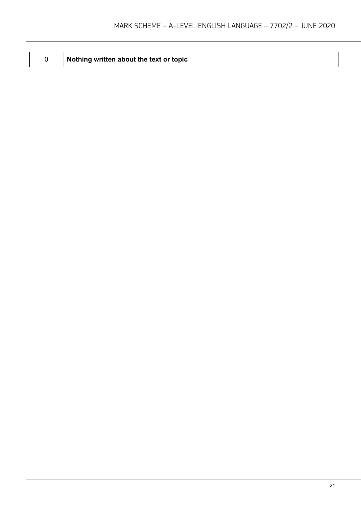**Nothing written about the text or topic**